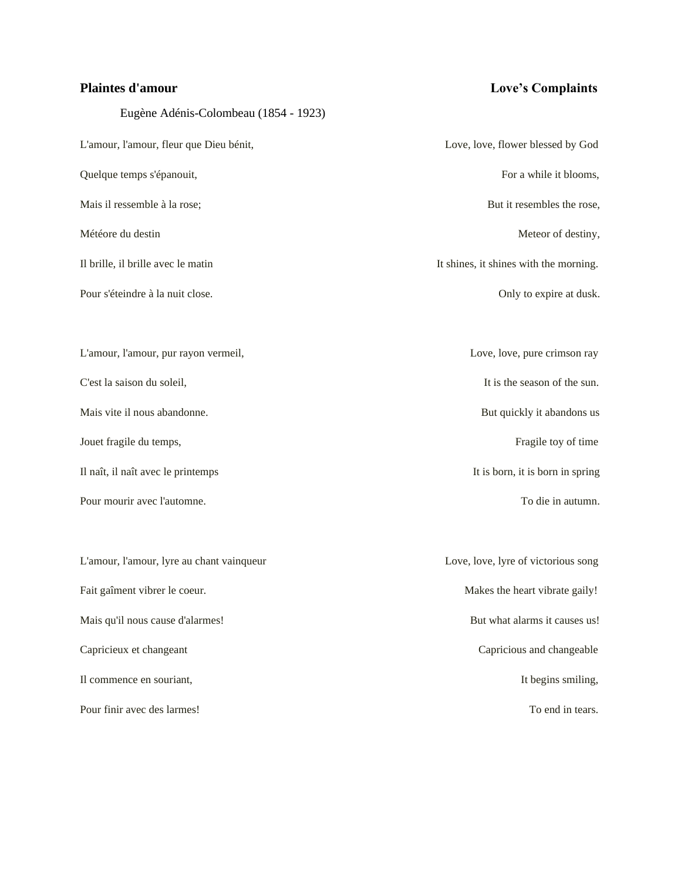Eugène Adénis-Colombeau (1854 - 1923)

# **Plaintes d'amour Love's Complaints**

| L'amour, l'amour, fleur que Dieu bénit,   | Love, love, flower blessed by God      |
|-------------------------------------------|----------------------------------------|
| Quelque temps s'épanouit,                 | For a while it blooms,                 |
| Mais il ressemble à la rose;              | But it resembles the rose,             |
| Météore du destin                         | Meteor of destiny,                     |
| Il brille, il brille avec le matin        | It shines, it shines with the morning. |
| Pour s'éteindre à la nuit close.          | Only to expire at dusk.                |
|                                           |                                        |
| L'amour, l'amour, pur rayon vermeil,      | Love, love, pure crimson ray           |
| C'est la saison du soleil,                | It is the season of the sun.           |
| Mais vite il nous abandonne.              | But quickly it abandons us             |
| Jouet fragile du temps,                   | Fragile toy of time                    |
| Il naît, il naît avec le printemps        | It is born, it is born in spring       |
| Pour mourir avec l'automne.               | To die in autumn.                      |
|                                           |                                        |
| L'amour, l'amour, lyre au chant vainqueur | Love, love, lyre of victorious song    |
| Fait gaîment vibrer le coeur.             | Makes the heart vibrate gaily!         |
| Mais qu'il nous cause d'alarmes!          | But what alarms it causes us!          |
| Capricieux et changeant                   | Capricious and changeable              |
| Il commence en souriant,                  | It begins smiling,                     |
| Pour finir avec des larmes!               | To end in tears.                       |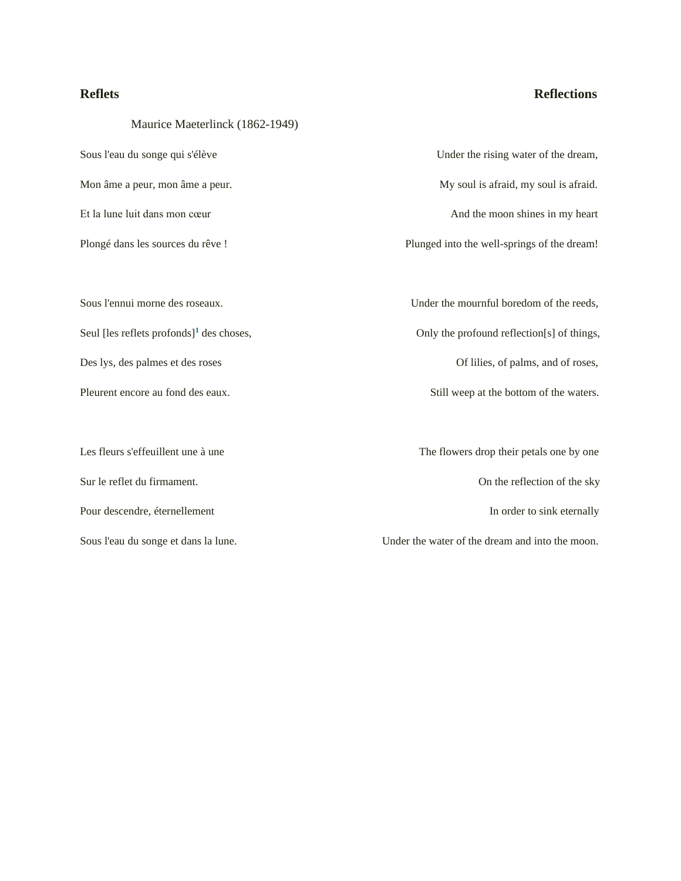### **Reflets Reflections**

Maurice Maeterlinck (1862-1949)

Sur le reflet du firmament. Community of the sky of the sky of the sky of the sky of the sky of the sky of the sky of the sky of the sky of the sky of the sky of the sky of the sky of the sky of the sky of the sky of the s Pour descendre, éternellement **In order to sink eternally In order to sink eternally** 

Sous l'eau du songe qui s'élève Under the rising water of the dream, Mon âme a peur, mon âme a peur. My soul is afraid, my soul is afraid. Et la lune luit dans mon cœur And the moon shines in my heart Plongé dans les sources du rêve ! Plunged into the well-springs of the dream! Sous l'ennui morne des roseaux. Under the mournful boredom of the reeds, Seul [les reflets profonds]<sup>1</sup> des choses, Only the profound reflection[s] of things, Des lys, des palmes et des roses Of lilies, of palms, and of roses, Pleurent encore au fond des eaux. Still weep at the bottom of the waters. Les fleurs s'effeuillent une à une The flowers drop their petals one by one

Sous l'eau du songe et dans la lune. Under the water of the dream and into the moon.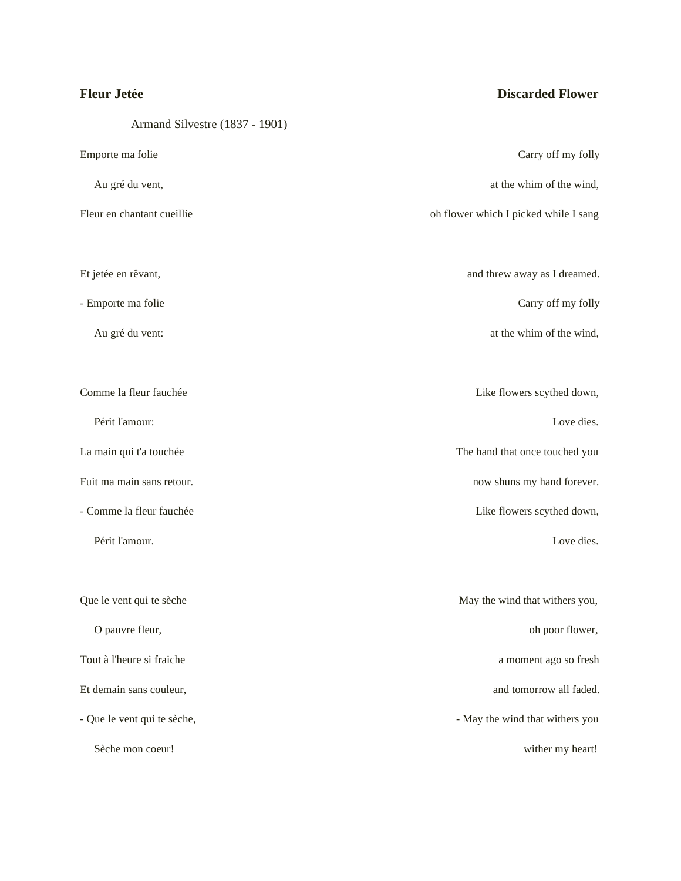Armand Silvestre (1837 - 1901)

# **Fleur Jetée Discarded Flower**

| Emporte ma folie            | Carry off my folly                    |
|-----------------------------|---------------------------------------|
| Au gré du vent,             | at the whim of the wind,              |
| Fleur en chantant cueillie  | oh flower which I picked while I sang |
| Et jetée en rêvant,         | and threw away as I dreamed.          |
|                             |                                       |
| - Emporte ma folie          | Carry off my folly                    |
| Au gré du vent:             | at the whim of the wind,              |
| Comme la fleur fauchée      | Like flowers scythed down,            |
| Périt l'amour:              | Love dies.                            |
| La main qui t'a touchée     | The hand that once touched you        |
| Fuit ma main sans retour.   | now shuns my hand forever.            |
| - Comme la fleur fauchée    | Like flowers scythed down,            |
| Périt l'amour.              | Love dies.                            |
| Que le vent qui te sèche    | May the wind that withers you,        |
| O pauvre fleur,             | oh poor flower,                       |
| Tout à l'heure si fraiche   | a moment ago so fresh                 |
| Et demain sans couleur,     | and tomorrow all faded.               |
| - Que le vent qui te sèche, | - May the wind that withers you       |
| Sèche mon coeur!            | wither my heart!                      |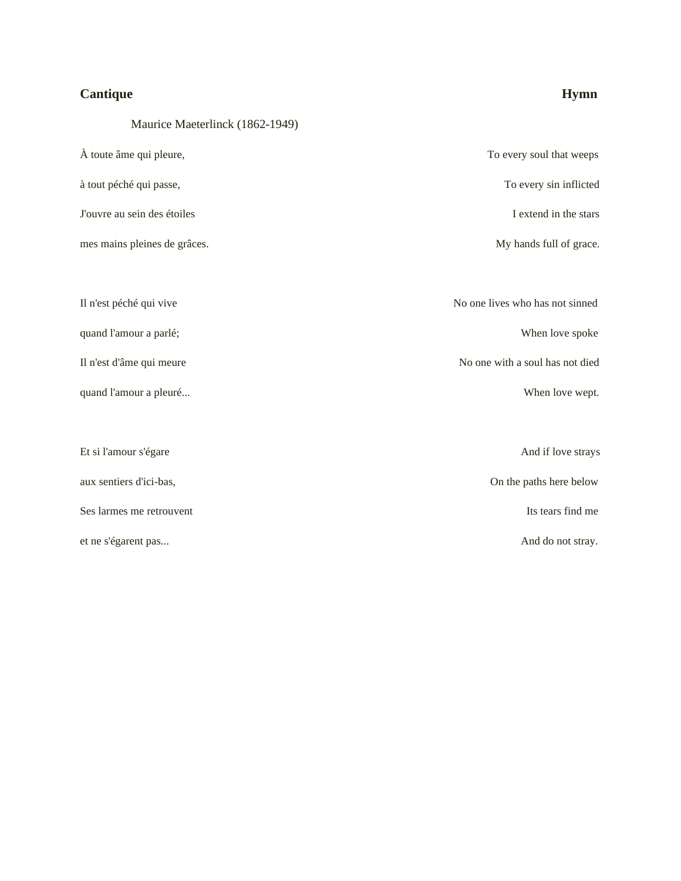# **Cantique Hymn**

Maurice Maeterlinck (1862-1949)

| À toute âme qui pleure,      | To every soul that weeps        |
|------------------------------|---------------------------------|
| à tout péché qui passe,      | To every sin inflicted          |
| J'ouvre au sein des étoiles  | I extend in the stars           |
| mes mains pleines de grâces. | My hands full of grace.         |
|                              |                                 |
| Il n'est péché qui vive      | No one lives who has not sinned |
| quand l'amour a parlé;       | When love spoke                 |
| Il n'est d'âme qui meure     | No one with a soul has not died |
| quand l'amour a pleuré       | When love wept.                 |
|                              |                                 |
| Et si l'amour s'égare        | And if love strays              |
| aux sentiers d'ici-bas,      | On the paths here below         |
| Ses larmes me retrouvent     | Its tears find me               |
| et ne s'égarent pas          | And do not stray.               |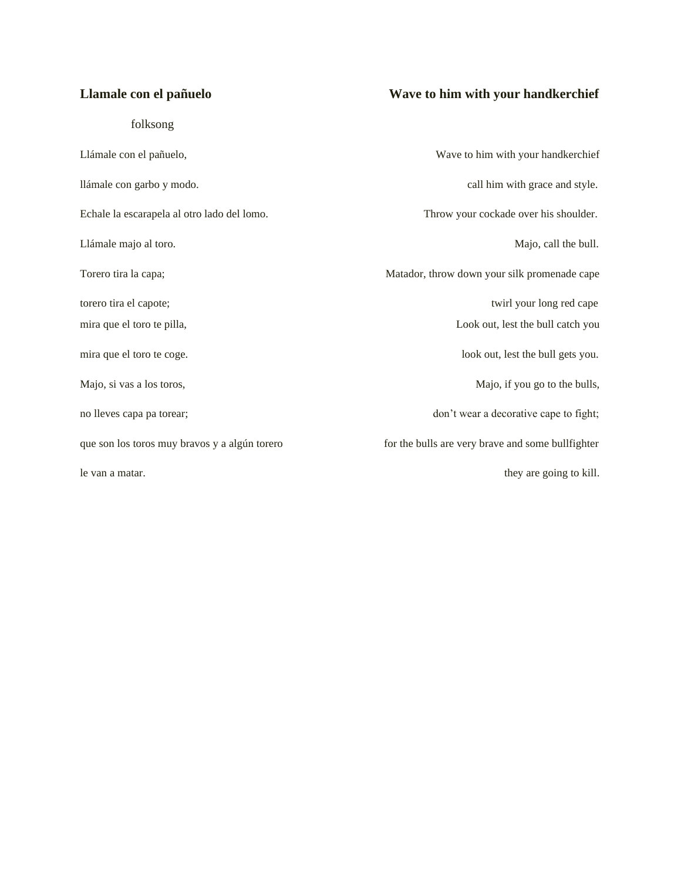folksong

## **Llamale con el pañuelo Wave to him with your handkerchief**

Llámale con el pañuelo, Wave to him with your handkerchief llámale con garbo y modo. call him with grace and style. Echale la escarapela al otro lado del lomo. Throw your cockade over his shoulder. Llámale majo al toro. Majo, call the bull. Torero tira la capa; and a capa; and a capa; and a capable of the Matador, throw down your silk promenade cape torero tira el capote; twirl your long red cape mira que el toro te pilla, Look out, lest the bull catch you mira que el toro te coge. look out, lest the bull gets you. Majo, si vas a los toros,  $\blacksquare$ no lleves capa pa torear; don't wear a decorative cape to fight; que son los toros muy bravos y a algún torero for the bulls are very brave and some bullfighter le van a matar. they are going to kill.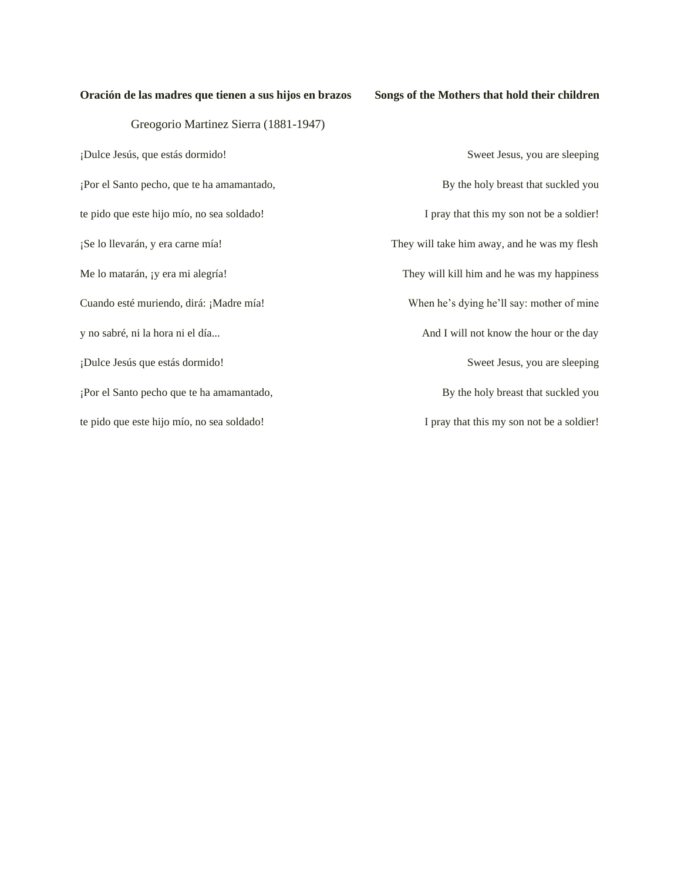### **Oración de las madres que tienen a sus hijos en brazos Songs of the Mothers that hold their children**

Greogorio Martinez Sierra (1881-1947) ¡Dulce Jesús, que estás dormido! Sweet Jesus, you are sleeping ¡Por el Santo pecho, que te ha amamantado, By the holy breast that suckled you te pido que este hijo mío, no sea soldado! I pray that this my son not be a soldier! ¡Se lo llevarán, y era carne mía! They will take him away, and he was my flesh Me lo matarán, ¡y era mi alegría! They will kill him and he was my happiness Cuando esté muriendo, dirá: ¡Madre mía! When he's dying he'll say: mother of mine y no sabré, ni la hora ni el día... And I will not know the hour or the day ¡Dulce Jesús que estás dormido! Sweet Jesus, you are sleeping ¡Por el Santo pecho que te ha amamantado, By the holy breast that suckled you te pido que este hijo mío, no sea soldado! I pray that this my son not be a soldier!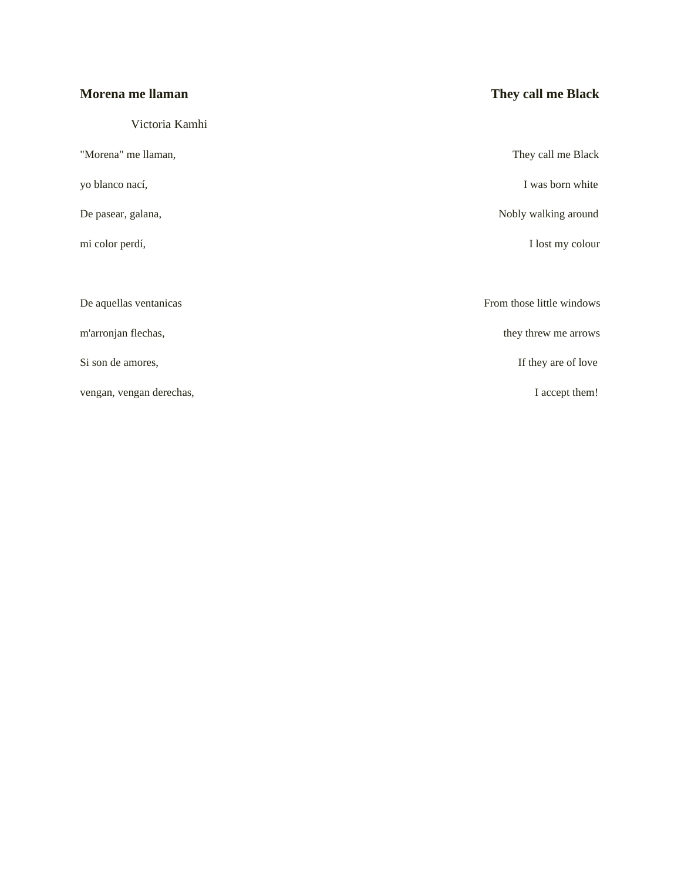| Morena me llaman         | They call me Black        |
|--------------------------|---------------------------|
| Victoria Kamhi           |                           |
| "Morena" me llaman,      | They call me Black        |
| yo blanco nací,          | I was born white          |
| De pasear, galana,       | Nobly walking around      |
| mi color perdí,          | I lost my colour          |
|                          |                           |
| De aquellas ventanicas   | From those little windows |
| m'arronjan flechas,      | they threw me arrows      |
| Si son de amores,        | If they are of love       |
| vengan, vengan derechas, | I accept them!            |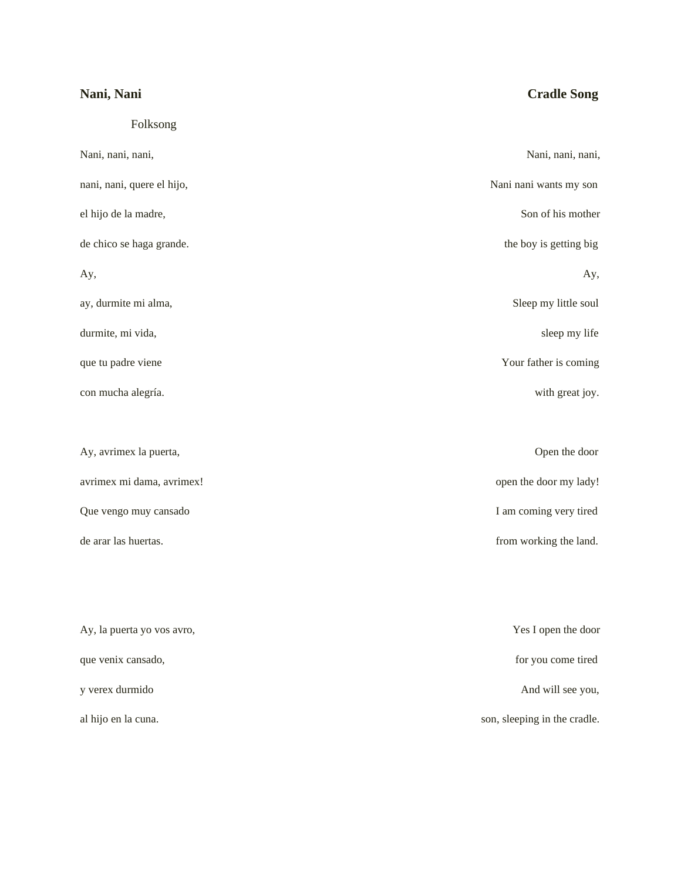# **Nani, Nani Cradle Song** Folksong Nani, nani, nani, nani, nani, nani, nani, nani, nani, nani, nani, nani, nani, nani, nani, nani, nani, nani, nani, nani, nani, nani, nani, nani, nani, nani, nani, nani, nani, nani, nani, nani, nani, nani, nani, nani, nani, nani, nani, quere el hijo, Nani nani wants my son el hijo de la madre, Son of his mother de chico se haga grande. the boy is getting big  $A_y$ ,  $A_y$ ,  $A_y$ ,  $A_z$ ay, durmite mi alma, Sleep my little soul durmite, mi vida, sleep my life que tu padre viene Your father is coming con mucha alegría. with great joy. Ay, avrimex la puerta, Open the door avrimex mi dama, avrimex!  $open the door my lady!$ Que vengo muy cansado I am coming very tired de arar las huertas. **from working the land** from working the land. Ay, la puerta yo vos avro, Yes I open the door que venix cansado, for you come tired y verex durmido And will see you, al hijo en la cuna. Son, sleeping in the cradle.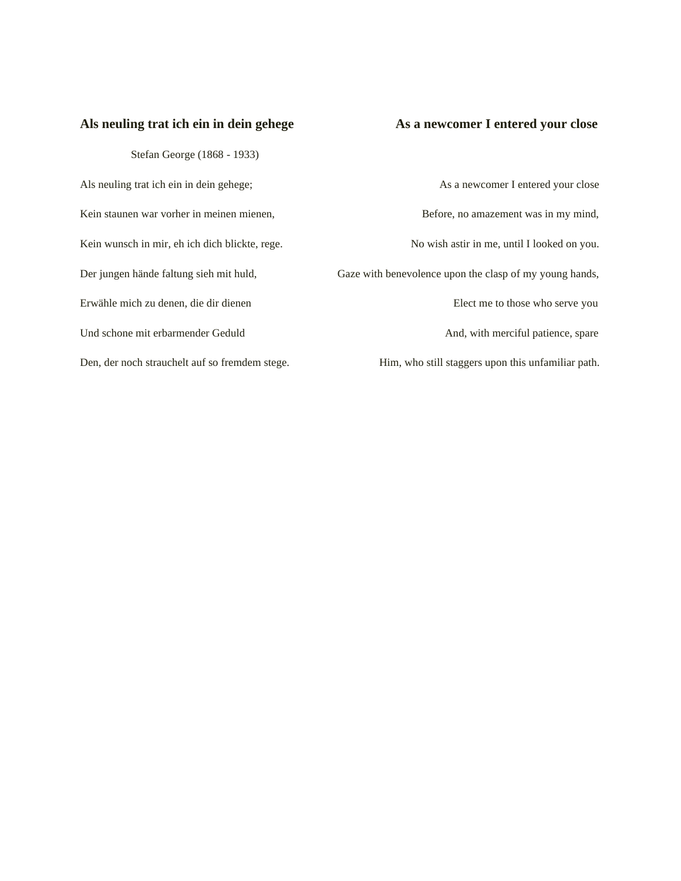### Als neuling trat ich ein in dein gehege **As a newcomer I entered your close**

Stefan George (1868 - 1933)

Als neuling trat ich ein in dein gehege; As a newcomer I entered your close Kein staunen war vorher in meinen mienen, Before, no amazement was in my mind, Kein wunsch in mir, eh ich dich blickte, rege. No wish astir in me, until I looked on you. Der jungen hände faltung sieh mit huld, Gaze with benevolence upon the clasp of my young hands, Erwähle mich zu denen, die dir dienen Elect me to those who serve you Und schone mit erbarmender Geduld And, with merciful patience, spare Den, der noch strauchelt auf so fremdem stege. Him, who still staggers upon this unfamiliar path.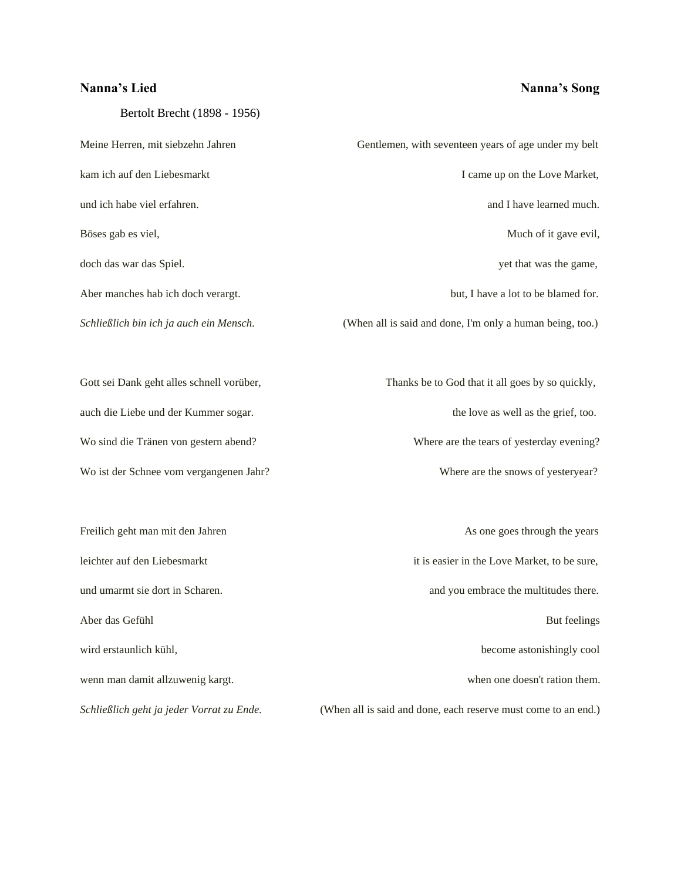Bertolt Brecht (1898 - 1956)

leichter auf den Liebesmarkt it is easier in the Love Market, to be sure, und umarmt sie dort in Scharen.  $\blacksquare$  and you embrace the multitudes there. Aber das Gefühl But feelings and the state of the state of the state of the But feelings and But feelings and But feelings and But feelings and But feelings and But feelings and But feelings and But feelings and But feelin wird erstaunlich kühl, become astonishingly cool wenn man damit allzuwenig kargt. when one doesn't ration them.

**Nanna's Lied Nanna's Song** 

Meine Herren, mit siebzehn Jahren Gentlemen, with seventeen years of age under my belt kam ich auf den Liebesmarkt I came up on the Love Market, und ich habe viel erfahren. **and I have learned much.** and I have learned much. Böses gab es viel, Much of it gave evil, Much of it gave evil, doch das war das Spiel. yet that was the game, Aber manches hab ich doch verargt. but, I have a lot to be blamed for. *Schließlich bin ich ja auch ein Mensch.* (When all is said and done, I'm only a human being, too.) Gott sei Dank geht alles schnell vorüber, Thanks be to God that it all goes by so quickly, auch die Liebe und der Kummer sogar. the love as well as the grief, too. Wo sind die Tränen von gestern abend? Where are the tears of yesterday evening? Wo ist der Schnee vom vergangenen Jahr? Where are the snows of yesteryear? Freilich geht man mit den Jahren As one goes through the years As one goes through the years

*Schließlich geht ja jeder Vorrat zu Ende.* (When all is said and done, each reserve must come to an end.)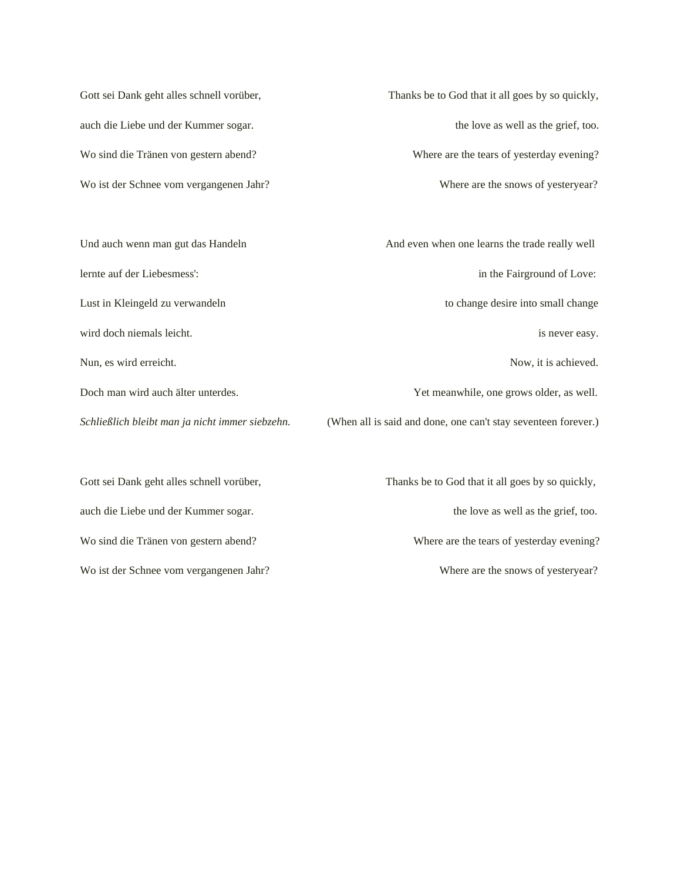Wo ist der Schnee vom vergangenen Jahr? Where are the snows of yesteryear?

Gott sei Dank geht alles schnell vorüber, Thanks be to God that it all goes by so quickly, auch die Liebe und der Kummer sogar. the love as well as the grief, too. Wo sind die Tränen von gestern abend? Where are the tears of yesterday evening?

Und auch wenn man gut das Handeln And even when one learns the trade really well lernte auf der Liebesmess': in the Fairground of Love: Lust in Kleingeld zu verwandeln to change desire into small change wird doch niemals leicht. is never easy. It is never easy. Nun, es wird erreicht. Now, it is achieved. Doch man wird auch älter unterdes. Yet meanwhile, one grows older, as well. *Schließlich bleibt man ja nicht immer siebzehn.* (When all is said and done, one can't stay seventeen forever.)

Gott sei Dank geht alles schnell vorüber, Thanks be to God that it all goes by so quickly, auch die Liebe und der Kummer sogar. the love as well as the grief, too. Wo sind die Tränen von gestern abend? Where are the tears of yesterday evening? Wo ist der Schnee vom vergangenen Jahr? Where are the snows of yesteryear?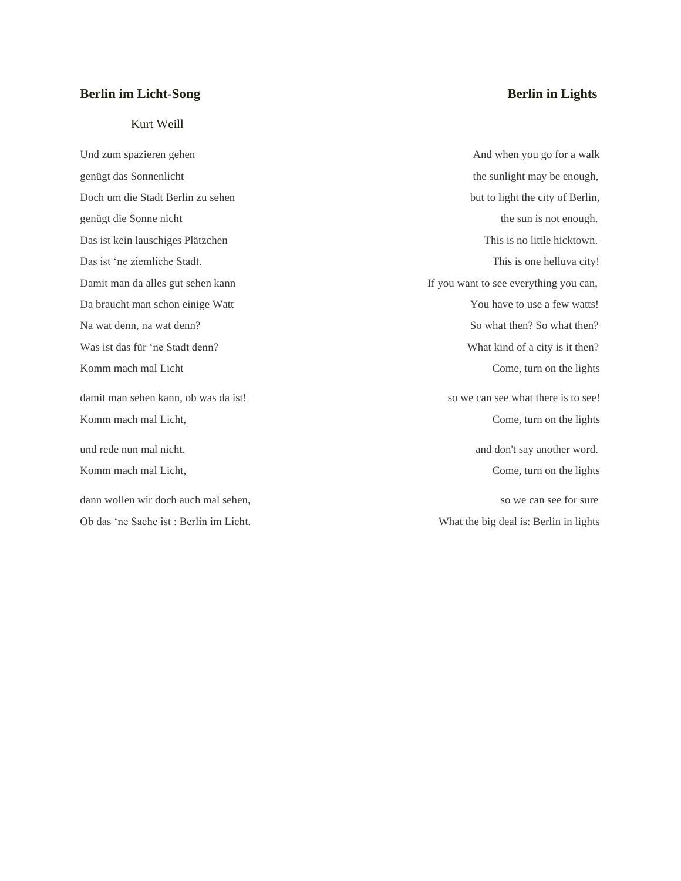### **Berlin im Licht-Song Berlin in Lights**

Kurt Weill

Und zum spazieren gehen And when you go for a walk genügt das Sonnenlicht the sunlight may be enough, the sunlight may be enough, Doch um die Stadt Berlin zu sehen but to light the city of Berlin, genügt die Sonne nicht the sun is not enough. Das ist kein lauschiges Plätzchen This is no little hicktown. Das ist 'ne ziemliche Stadt. This is one helluva city! Damit man da alles gut sehen kann If you want to see everything you can, Da braucht man schon einige Watt You have to use a few watts! Na wat denn, na wat denn? So what then? So what then? So what then? So what then? Was ist das für 'ne Stadt denn? What kind of a city is it then? Komm mach mal Licht Come, turn on the lights damit man sehen kann, ob was da ist! so we can see what there is to see! Komm mach mal Licht, Come, turn on the lights Come, turn on the lights und rede nun mal nicht.  $\Box$  and don't say another word. Komm mach mal Licht, Come, turn on the lights dann wollen wir doch auch mal sehen, so we can see for sure so we can see for sure

Ob das 'ne Sache ist : Berlin im Licht. What the big deal is: Berlin in lights